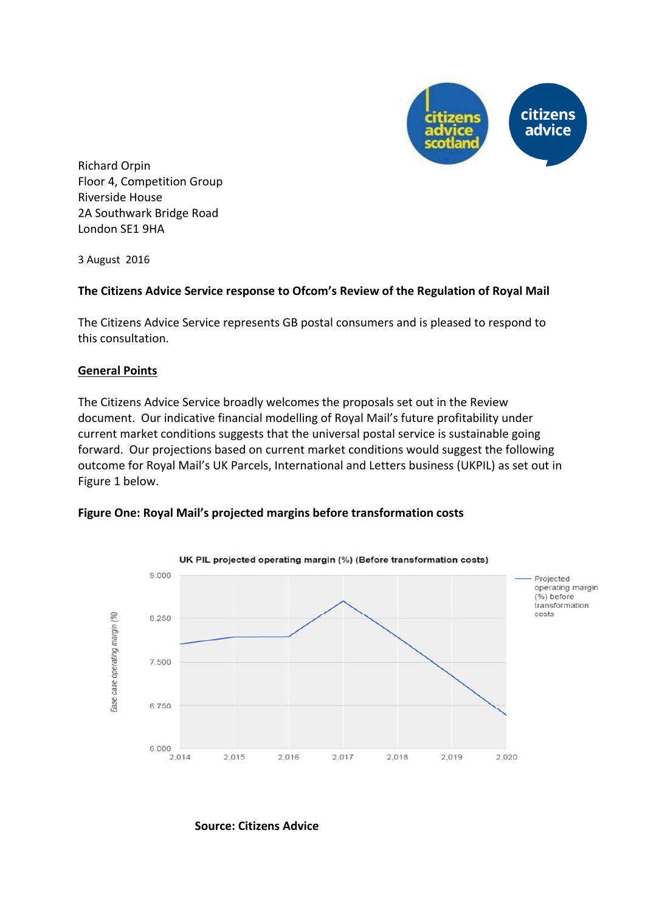

Richard Orpin Floor 4, Competition Group Riverside House 2A Southwark Bridge Road London SE1 9HA

3 August 2016

#### **The Citizens Advice Service response to Ofcom's Review of the Regulation of Royal Mail**

The Citizens Advice Service represents GB postal consumers and is pleased to respond to this consultation.

#### **General Points**

The Citizens Advice Service broadly welcomes the proposals set out in the Review document. Our indicative financial modelling of Royal Mail's future profitability under current market conditions suggests that the universal postal service is sustainable going forward. Our projections based on current market conditions would suggest the following outcome for Royal Mail's UK Parcels, International and Letters business (UKPIL) as set out in Figure 1 below.

#### **Figure One: Royal Mail's projected margins before transformation costs**



#### **Source: Citizens Advice**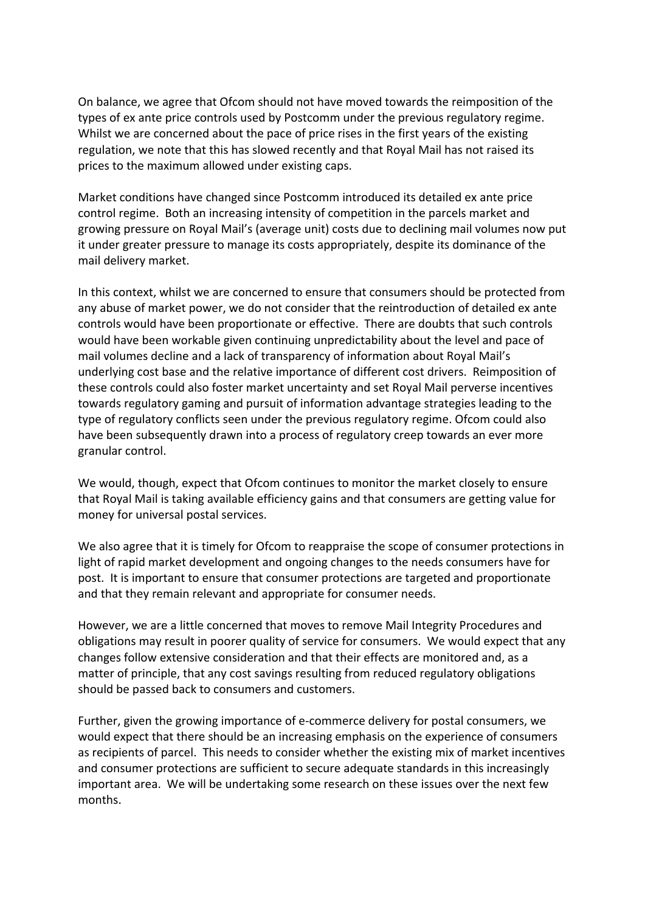On balance, we agree that Ofcom should not have moved towards the reimposition of the types of ex ante price controls used by Postcomm under the previous regulatory regime. Whilst we are concerned about the pace of price rises in the first years of the existing regulation, we note that this has slowed recently and that Royal Mail has not raised its prices to the maximum allowed under existing caps.

Market conditions have changed since Postcomm introduced its detailed ex ante price control regime. Both an increasing intensity of competition in the parcels market and growing pressure on Royal Mail's (average unit) costs due to declining mail volumes now put it under greater pressure to manage its costs appropriately, despite its dominance of the mail delivery market.

In this context, whilst we are concerned to ensure that consumers should be protected from any abuse of market power, we do not consider that the reintroduction of detailed ex ante controls would have been proportionate or effective. There are doubts that such controls would have been workable given continuing unpredictability about the level and pace of mail volumes decline and a lack of transparency of information about Royal Mail's underlying cost base and the relative importance of different cost drivers. Reimposition of these controls could also foster market uncertainty and set Royal Mail perverse incentives towards regulatory gaming and pursuit of information advantage strategies leading to the type of regulatory conflicts seen under the previous regulatory regime. Ofcom could also have been subsequently drawn into a process of regulatory creep towards an ever more granular control.

We would, though, expect that Ofcom continues to monitor the market closely to ensure that Royal Mail is taking available efficiency gains and that consumers are getting value for money for universal postal services.

We also agree that it is timely for Ofcom to reappraise the scope of consumer protections in light of rapid market development and ongoing changes to the needs consumers have for post. It is important to ensure that consumer protections are targeted and proportionate and that they remain relevant and appropriate for consumer needs.

However, we are a little concerned that moves to remove Mail Integrity Procedures and obligations may result in poorer quality of service for consumers. We would expect that any changes follow extensive consideration and that their effects are monitored and, as a matter of principle, that any cost savings resulting from reduced regulatory obligations should be passed back to consumers and customers.

Further, given the growing importance of e‐commerce delivery for postal consumers, we would expect that there should be an increasing emphasis on the experience of consumers as recipients of parcel. This needs to consider whether the existing mix of market incentives and consumer protections are sufficient to secure adequate standards in this increasingly important area. We will be undertaking some research on these issues over the next few months.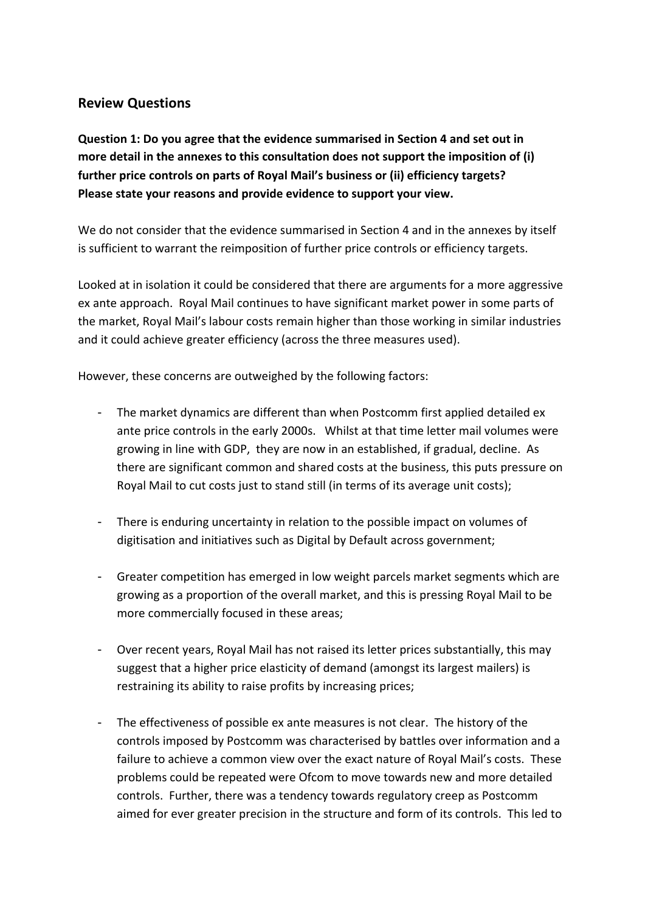#### **Review Questions**

**Question 1: Do you agree that the evidence summarised in Section 4 and set out in more detail in the annexes to this consultation does not support the imposition of (i) further price controls on parts of Royal Mail's business or (ii) efficiency targets? Please state your reasons and provide evidence to support your view.**

We do not consider that the evidence summarised in Section 4 and in the annexes by itself is sufficient to warrant the reimposition of further price controls or efficiency targets.

Looked at in isolation it could be considered that there are arguments for a more aggressive ex ante approach. Royal Mail continues to have significant market power in some parts of the market, Royal Mail's labour costs remain higher than those working in similar industries and it could achieve greater efficiency (across the three measures used).

However, these concerns are outweighed by the following factors:

- The market dynamics are different than when Postcomm first applied detailed ex ante price controls in the early 2000s. Whilst at that time letter mail volumes were growing in line with GDP, they are now in an established, if gradual, decline. As there are significant common and shared costs at the business, this puts pressure on Royal Mail to cut costs just to stand still (in terms of its average unit costs);
- There is enduring uncertainty in relation to the possible impact on volumes of digitisation and initiatives such as Digital by Default across government;
- Greater competition has emerged in low weight parcels market segments which are growing as a proportion of the overall market, and this is pressing Royal Mail to be more commercially focused in these areas;
- Over recent years, Royal Mail has not raised its letter prices substantially, this may suggest that a higher price elasticity of demand (amongst its largest mailers) is restraining its ability to raise profits by increasing prices;
- The effectiveness of possible ex ante measures is not clear. The history of the controls imposed by Postcomm was characterised by battles over information and a failure to achieve a common view over the exact nature of Royal Mail's costs. These problems could be repeated were Ofcom to move towards new and more detailed controls. Further, there was a tendency towards regulatory creep as Postcomm aimed for ever greater precision in the structure and form of its controls. This led to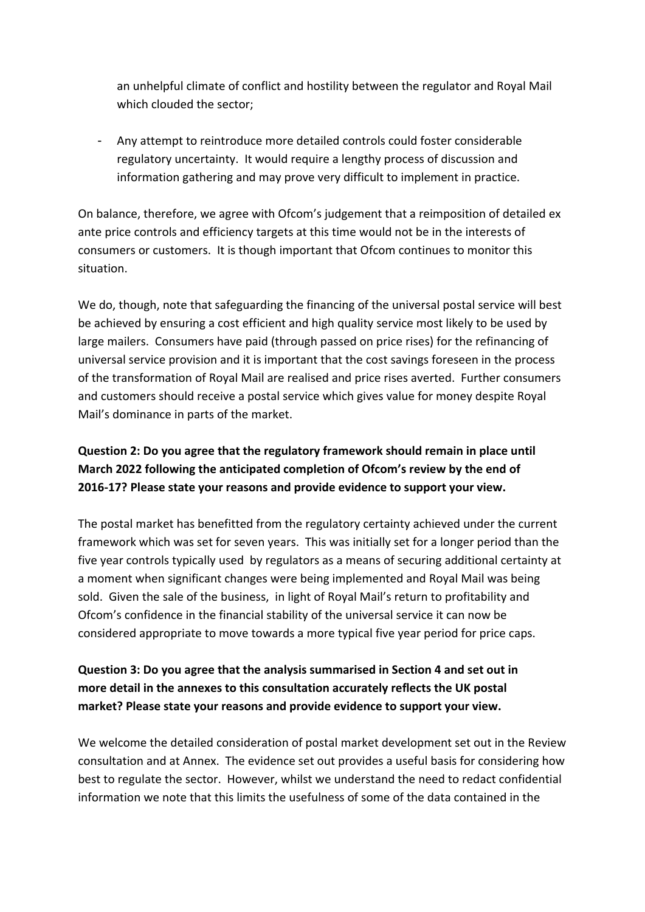an unhelpful climate of conflict and hostility between the regulator and Royal Mail which clouded the sector;

- Any attempt to reintroduce more detailed controls could foster considerable regulatory uncertainty. It would require a lengthy process of discussion and information gathering and may prove very difficult to implement in practice.

On balance, therefore, we agree with Ofcom's judgement that a reimposition of detailed ex ante price controls and efficiency targets at this time would not be in the interests of consumers or customers. It is though important that Ofcom continues to monitor this situation.

We do, though, note that safeguarding the financing of the universal postal service will best be achieved by ensuring a cost efficient and high quality service most likely to be used by large mailers. Consumers have paid (through passed on price rises) for the refinancing of universal service provision and it is important that the cost savings foreseen in the process of the transformation of Royal Mail are realised and price rises averted. Further consumers and customers should receive a postal service which gives value for money despite Royal Mail's dominance in parts of the market.

# **Question 2: Do you agree that the regulatory framework should remain in place until March 2022 following the anticipated completion of Ofcom's review by the end of 2016‐17? Please state your reasons and provide evidence to support your view.**

The postal market has benefitted from the regulatory certainty achieved under the current framework which was set for seven years. This was initially set for a longer period than the five year controls typically used by regulators as a means of securing additional certainty at a moment when significant changes were being implemented and Royal Mail was being sold. Given the sale of the business, in light of Royal Mail's return to profitability and Ofcom's confidence in the financial stability of the universal service it can now be considered appropriate to move towards a more typical five year period for price caps.

## **Question 3: Do you agree that the analysis summarised in Section 4 and set out in more detail in the annexes to this consultation accurately reflects the UK postal market? Please state your reasons and provide evidence to support your view.**

We welcome the detailed consideration of postal market development set out in the Review consultation and at Annex. The evidence set out provides a useful basis for considering how best to regulate the sector. However, whilst we understand the need to redact confidential information we note that this limits the usefulness of some of the data contained in the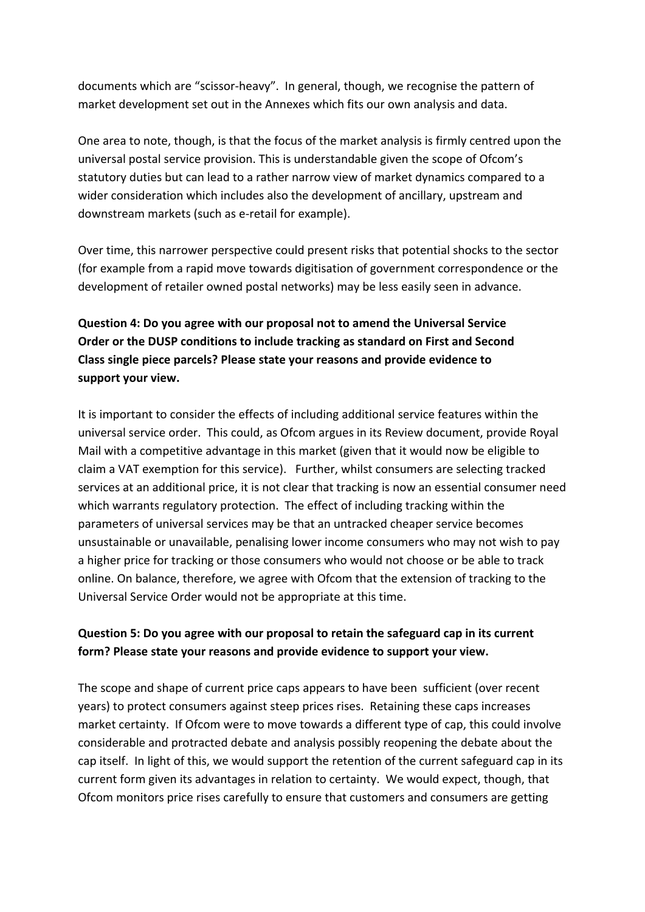documents which are "scissor‐heavy". In general, though, we recognise the pattern of market development set out in the Annexes which fits our own analysis and data.

One area to note, though, is that the focus of the market analysis is firmly centred upon the universal postal service provision. This is understandable given the scope of Ofcom's statutory duties but can lead to a rather narrow view of market dynamics compared to a wider consideration which includes also the development of ancillary, upstream and downstream markets (such as e‐retail for example).

Over time, this narrower perspective could present risks that potential shocks to the sector (for example from a rapid move towards digitisation of government correspondence or the development of retailer owned postal networks) may be less easily seen in advance.

# **Question 4: Do you agree with our proposal not to amend the Universal Service Order or the DUSP conditions to include tracking as standard on First and Second Class single piece parcels? Please state your reasons and provide evidence to support your view.**

It is important to consider the effects of including additional service features within the universal service order. This could, as Ofcom argues in its Review document, provide Royal Mail with a competitive advantage in this market (given that it would now be eligible to claim a VAT exemption for this service). Further, whilst consumers are selecting tracked services at an additional price, it is not clear that tracking is now an essential consumer need which warrants regulatory protection. The effect of including tracking within the parameters of universal services may be that an untracked cheaper service becomes unsustainable or unavailable, penalising lower income consumers who may not wish to pay a higher price for tracking or those consumers who would not choose or be able to track online. On balance, therefore, we agree with Ofcom that the extension of tracking to the Universal Service Order would not be appropriate at this time.

### **Question 5: Do you agree with our proposal to retain the safeguard cap in its current form? Please state your reasons and provide evidence to support your view.**

The scope and shape of current price caps appears to have been sufficient (over recent years) to protect consumers against steep prices rises. Retaining these caps increases market certainty. If Ofcom were to move towards a different type of cap, this could involve considerable and protracted debate and analysis possibly reopening the debate about the cap itself. In light of this, we would support the retention of the current safeguard cap in its current form given its advantages in relation to certainty. We would expect, though, that Ofcom monitors price rises carefully to ensure that customers and consumers are getting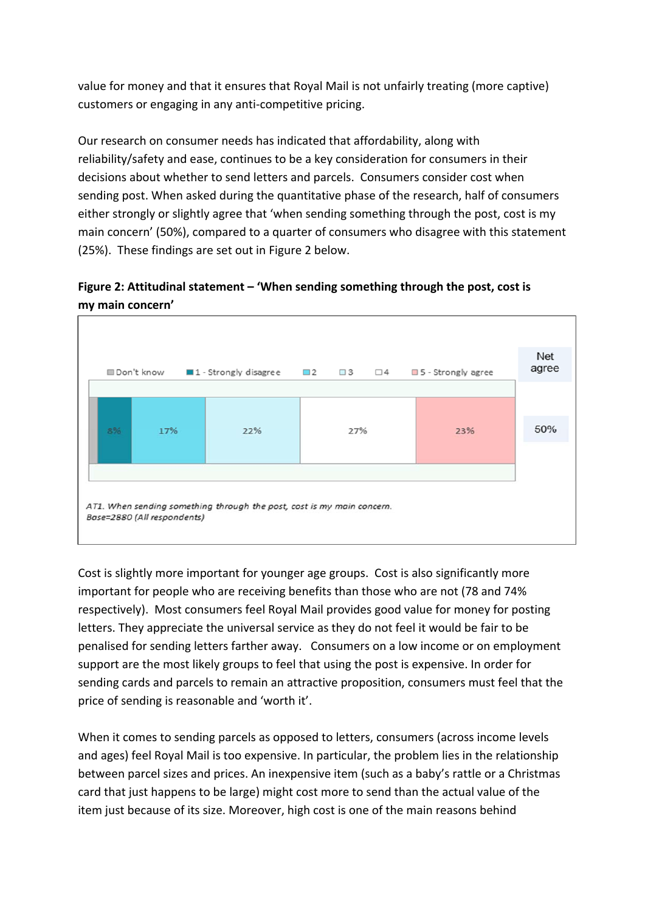value for money and that it ensures that Royal Mail is not unfairly treating (more captive) customers or engaging in any anti‐competitive pricing.

Our research on consumer needs has indicated that affordability, along with reliability/safety and ease, continues to be a key consideration for consumers in their decisions about whether to send letters and parcels. Consumers consider cost when sending post. When asked during the quantitative phase of the research, half of consumers either strongly or slightly agree that 'when sending something through the post, cost is my main concern' (50%), compared to a quarter of consumers who disagree with this statement (25%). These findings are set out in Figure 2 below.



| 8% | 17% | 22% | 27% | 23% | 50% |
|----|-----|-----|-----|-----|-----|
|    |     |     |     |     |     |

Cost is slightly more important for younger age groups. Cost is also significantly more important for people who are receiving benefits than those who are not (78 and 74% respectively). Most consumers feel Royal Mail provides good value for money for posting letters. They appreciate the universal service as they do not feel it would be fair to be penalised for sending letters farther away. Consumers on a low income or on employment support are the most likely groups to feel that using the post is expensive. In order for sending cards and parcels to remain an attractive proposition, consumers must feel that the price of sending is reasonable and 'worth it'.

When it comes to sending parcels as opposed to letters, consumers (across income levels and ages) feel Royal Mail is too expensive. In particular, the problem lies in the relationship between parcel sizes and prices. An inexpensive item (such as a baby's rattle or a Christmas card that just happens to be large) might cost more to send than the actual value of the item just because of its size. Moreover, high cost is one of the main reasons behind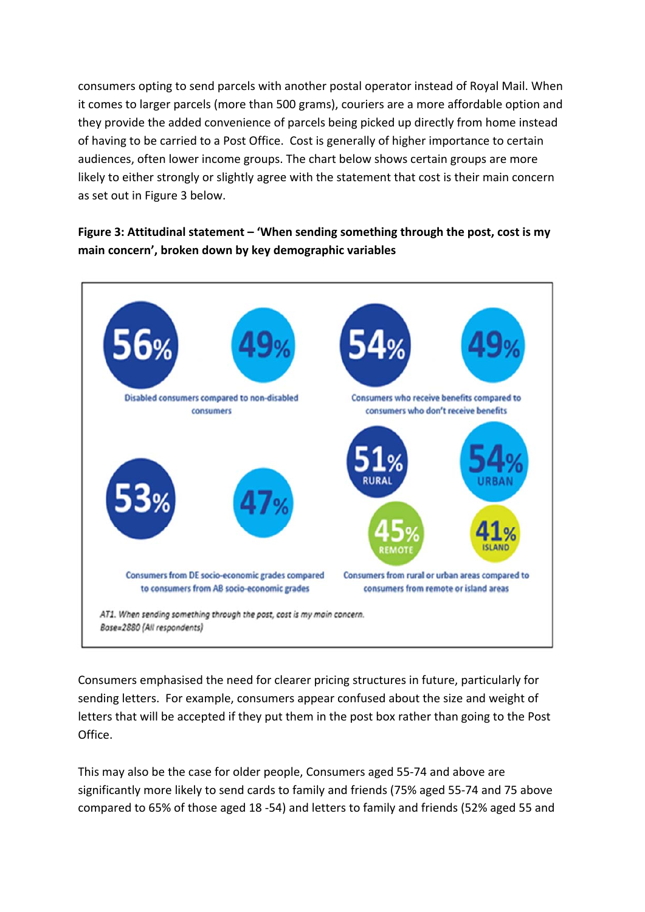consumers opting to send parcels with another postal operator instead of Royal Mail. When it comes to larger parcels (more than 500 grams), couriers are a more affordable option and they provide the added convenience of parcels being picked up directly from home instead of having to be carried to a Post Office. Cost is generally of higher importance to certain audiences, often lower income groups. The chart below shows certain groups are more likely to either strongly or slightly agree with the statement that cost is their main concern as set out in Figure 3 below.

## **Figure 3: Attitudinal statement – 'When sending something through the post, cost is my main concern', broken down by key demographic variables**



Consumers emphasised the need for clearer pricing structures in future, particularly for sending letters. For example, consumers appear confused about the size and weight of letters that will be accepted if they put them in the post box rather than going to the Post Office.

This may also be the case for older people, Consumers aged 55‐74 and above are significantly more likely to send cards to family and friends (75% aged 55‐74 and 75 above compared to 65% of those aged 18 ‐54) and letters to family and friends (52% aged 55 and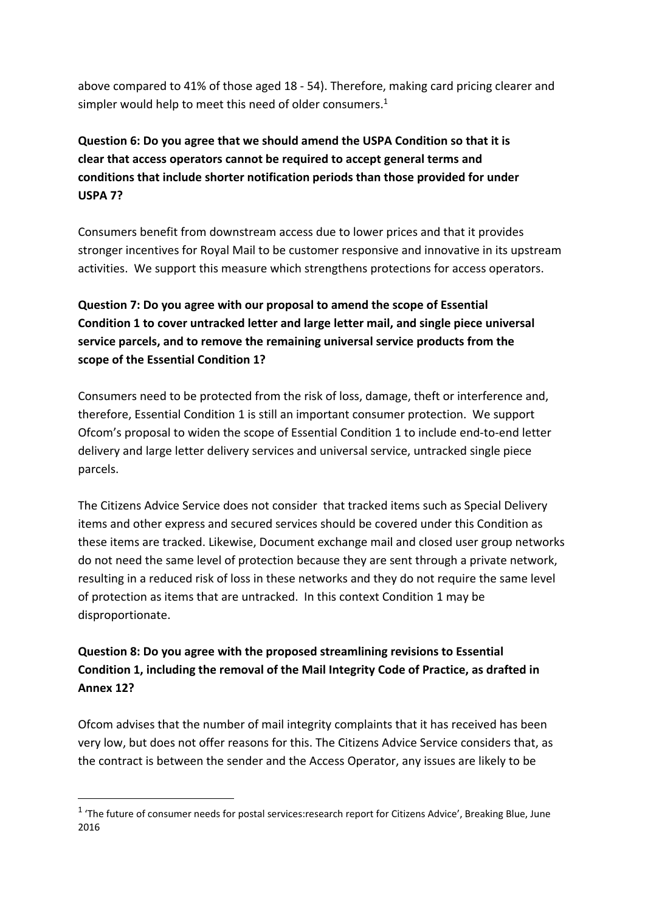above compared to 41% of those aged 18 ‐ 54). Therefore, making card pricing clearer and simpler would help to meet this need of older consumers.<sup>1</sup>

# **Question 6: Do you agree that we should amend the USPA Condition so that it is clear that access operators cannot be required to accept general terms and conditions that include shorter notification periods than those provided for under USPA 7?**

Consumers benefit from downstream access due to lower prices and that it provides stronger incentives for Royal Mail to be customer responsive and innovative in its upstream activities. We support this measure which strengthens protections for access operators.

# **Question 7: Do you agree with our proposal to amend the scope of Essential Condition 1 to cover untracked letter and large letter mail, and single piece universal service parcels, and to remove the remaining universal service products from the scope of the Essential Condition 1?**

Consumers need to be protected from the risk of loss, damage, theft or interference and, therefore, Essential Condition 1 is still an important consumer protection. We support Ofcom's proposal to widen the scope of Essential Condition 1 to include end‐to‐end letter delivery and large letter delivery services and universal service, untracked single piece parcels.

The Citizens Advice Service does not consider that tracked items such as Special Delivery items and other express and secured services should be covered under this Condition as these items are tracked. Likewise, Document exchange mail and closed user group networks do not need the same level of protection because they are sent through a private network, resulting in a reduced risk of loss in these networks and they do not require the same level of protection as items that are untracked. In this context Condition 1 may be disproportionate.

## **Question 8: Do you agree with the proposed streamlining revisions to Essential Condition 1, including the removal of the Mail Integrity Code of Practice, as drafted in Annex 12?**

Ofcom advises that the number of mail integrity complaints that it has received has been very low, but does not offer reasons for this. The Citizens Advice Service considers that, as the contract is between the sender and the Access Operator, any issues are likely to be

<sup>&</sup>lt;sup>1</sup> 'The future of consumer needs for postal services:research report for Citizens Advice', Breaking Blue, June 2016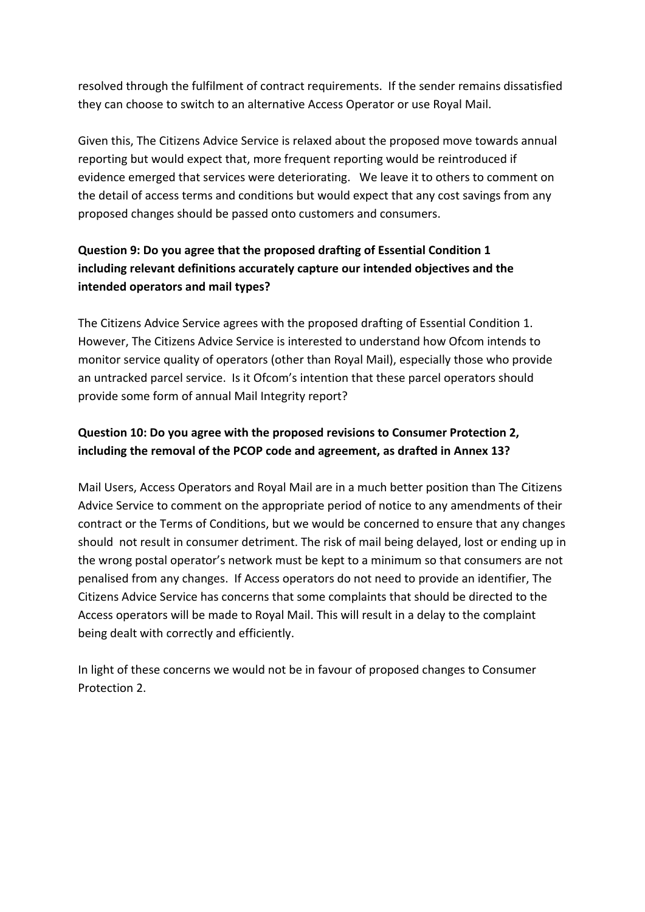resolved through the fulfilment of contract requirements. If the sender remains dissatisfied they can choose to switch to an alternative Access Operator or use Royal Mail.

Given this, The Citizens Advice Service is relaxed about the proposed move towards annual reporting but would expect that, more frequent reporting would be reintroduced if evidence emerged that services were deteriorating. We leave it to others to comment on the detail of access terms and conditions but would expect that any cost savings from any proposed changes should be passed onto customers and consumers.

# **Question 9: Do you agree that the proposed drafting of Essential Condition 1 including relevant definitions accurately capture our intended objectives and the intended operators and mail types?**

The Citizens Advice Service agrees with the proposed drafting of Essential Condition 1. However, The Citizens Advice Service is interested to understand how Ofcom intends to monitor service quality of operators (other than Royal Mail), especially those who provide an untracked parcel service. Is it Ofcom's intention that these parcel operators should provide some form of annual Mail Integrity report?

### **Question 10: Do you agree with the proposed revisions to Consumer Protection 2, including the removal of the PCOP code and agreement, as drafted in Annex 13?**

Mail Users, Access Operators and Royal Mail are in a much better position than The Citizens Advice Service to comment on the appropriate period of notice to any amendments of their contract or the Terms of Conditions, but we would be concerned to ensure that any changes should not result in consumer detriment. The risk of mail being delayed, lost or ending up in the wrong postal operator's network must be kept to a minimum so that consumers are not penalised from any changes. If Access operators do not need to provide an identifier, The Citizens Advice Service has concerns that some complaints that should be directed to the Access operators will be made to Royal Mail. This will result in a delay to the complaint being dealt with correctly and efficiently.

In light of these concerns we would not be in favour of proposed changes to Consumer Protection 2.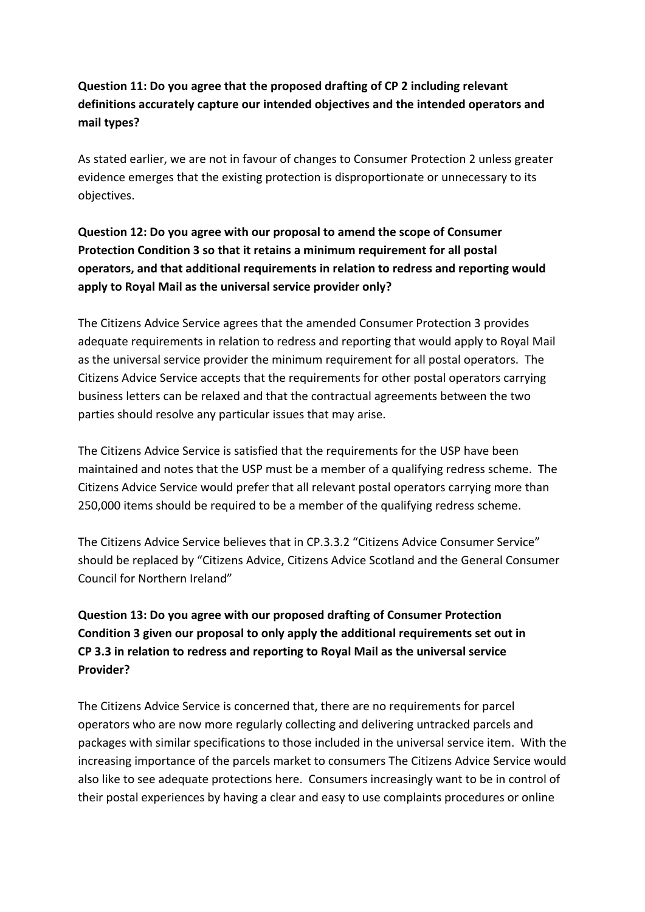## **Question 11: Do you agree that the proposed drafting of CP 2 including relevant definitions accurately capture our intended objectives and the intended operators and mail types?**

As stated earlier, we are not in favour of changes to Consumer Protection 2 unless greater evidence emerges that the existing protection is disproportionate or unnecessary to its objectives.

# **Question 12: Do you agree with our proposal to amend the scope of Consumer Protection Condition 3 so that it retains a minimum requirement for all postal operators, and that additional requirements in relation to redress and reporting would apply to Royal Mail as the universal service provider only?**

The Citizens Advice Service agrees that the amended Consumer Protection 3 provides adequate requirements in relation to redress and reporting that would apply to Royal Mail as the universal service provider the minimum requirement for all postal operators. The Citizens Advice Service accepts that the requirements for other postal operators carrying business letters can be relaxed and that the contractual agreements between the two parties should resolve any particular issues that may arise.

The Citizens Advice Service is satisfied that the requirements for the USP have been maintained and notes that the USP must be a member of a qualifying redress scheme. The Citizens Advice Service would prefer that all relevant postal operators carrying more than 250,000 items should be required to be a member of the qualifying redress scheme.

The Citizens Advice Service believes that in CP.3.3.2 "Citizens Advice Consumer Service" should be replaced by "Citizens Advice, Citizens Advice Scotland and the General Consumer Council for Northern Ireland"

# **Question 13: Do you agree with our proposed drafting of Consumer Protection Condition 3 given our proposal to only apply the additional requirements set out in CP 3.3 in relation to redress and reporting to Royal Mail as the universal service Provider?**

The Citizens Advice Service is concerned that, there are no requirements for parcel operators who are now more regularly collecting and delivering untracked parcels and packages with similar specifications to those included in the universal service item. With the increasing importance of the parcels market to consumers The Citizens Advice Service would also like to see adequate protections here. Consumers increasingly want to be in control of their postal experiences by having a clear and easy to use complaints procedures or online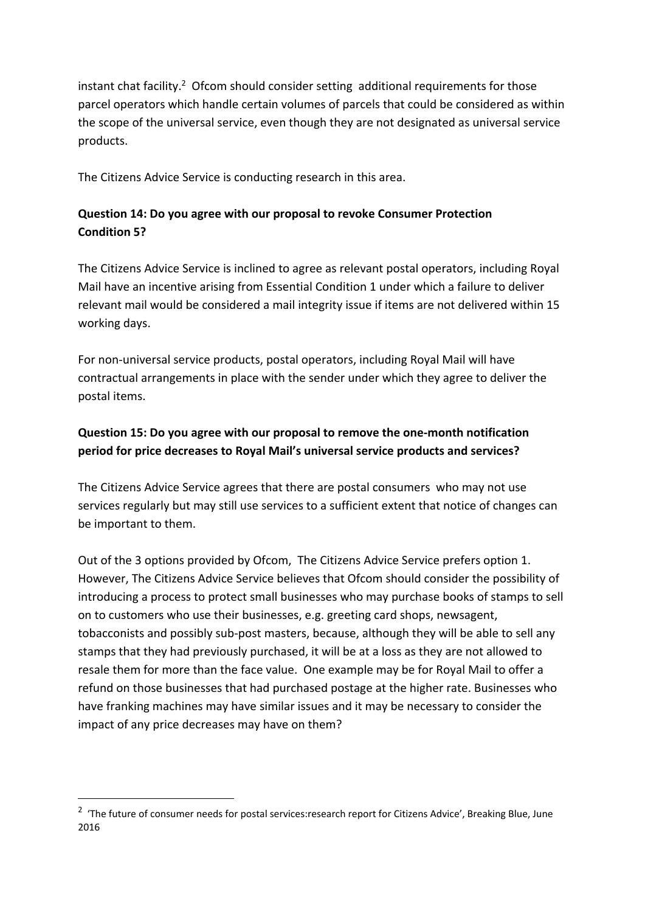instant chat facility.<sup>2</sup> Ofcom should consider setting additional requirements for those parcel operators which handle certain volumes of parcels that could be considered as within the scope of the universal service, even though they are not designated as universal service products.

The Citizens Advice Service is conducting research in this area.

## **Question 14: Do you agree with our proposal to revoke Consumer Protection Condition 5?**

The Citizens Advice Service is inclined to agree as relevant postal operators, including Royal Mail have an incentive arising from Essential Condition 1 under which a failure to deliver relevant mail would be considered a mail integrity issue if items are not delivered within 15 working days.

For non‐universal service products, postal operators, including Royal Mail will have contractual arrangements in place with the sender under which they agree to deliver the postal items.

## **Question 15: Do you agree with our proposal to remove the one‐month notification period for price decreases to Royal Mail's universal service products and services?**

The Citizens Advice Service agrees that there are postal consumers who may not use services regularly but may still use services to a sufficient extent that notice of changes can be important to them.

Out of the 3 options provided by Ofcom, The Citizens Advice Service prefers option 1. However, The Citizens Advice Service believes that Ofcom should consider the possibility of introducing a process to protect small businesses who may purchase books of stamps to sell on to customers who use their businesses, e.g. greeting card shops, newsagent, tobacconists and possibly sub‐post masters, because, although they will be able to sell any stamps that they had previously purchased, it will be at a loss as they are not allowed to resale them for more than the face value. One example may be for Royal Mail to offer a refund on those businesses that had purchased postage at the higher rate. Businesses who have franking machines may have similar issues and it may be necessary to consider the impact of any price decreases may have on them?

<sup>&</sup>lt;sup>2</sup> 'The future of consumer needs for postal services:research report for Citizens Advice', Breaking Blue, June 2016